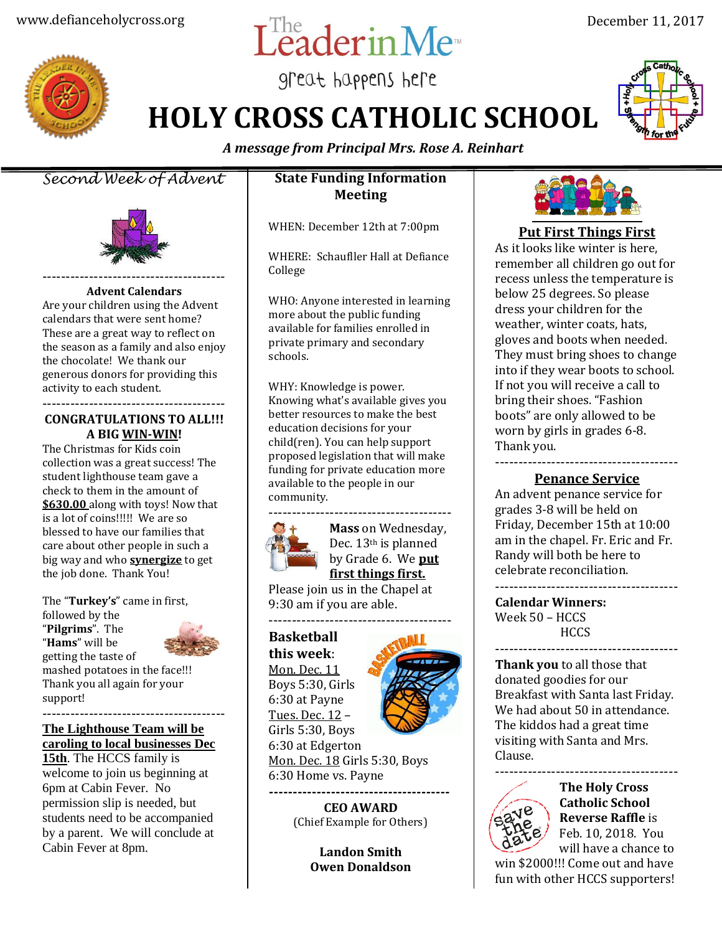# www.defianceholycross.org  $\operatorname{LeadernMe}^n$  December 11, 2017

great happens here

**HOLY CROSS CATHOLIC SCHOOL**



*A message from Principal Mrs. Rose A. Reinhart*

*Second Week of Advent*



#### **Advent Calendars**

Are your children using the Advent calendars that were sent home? These are a great way to reflect on the season as a family and also enjoy the chocolate! We thank our generous donors for providing this activity to each student.

#### --------------------------------------- **CONGRATULATIONS TO ALL!!! A BIG WIN-WIN!**

The Christmas for Kids coin collection was a great success! The student lighthouse team gave a check to them in the amount of **\$630.00** along with toys! Now that is a lot of coins!!!!! We are so blessed to have our families that care about other people in such a big way and who **synergize** to get the job done. Thank You!

The "**Turkey's**" came in first, followed by the "**Pilgrims**". The "**Hams**" will be getting the taste of mashed potatoes in the face!!! Thank you all again for your support!

--------------------------------------- **The Lighthouse Team will be caroling to local businesses Dec**

**15th**. The HCCS family is welcome to join us beginning at 6pm at Cabin Fever. No permission slip is needed, but students need to be accompanied by a parent. We will conclude at Cabin Fever at 8pm.

### **State Funding Information Meeting**

WHEN: December 12th at 7:00pm

WHERE: Schaufller Hall at Defiance College

WHO: Anyone interested in learning more about the public funding available for families enrolled in private primary and secondary schools.

WHY: Knowledge is power. Knowing what's available gives you better resources to make the best education decisions for your child(ren). You can help support proposed legislation that will make funding for private education more available to the people in our community.



**Mass** on Wednesday, Dec. 13th is planned by Grade 6. We **put first things first.** 

Please join us in the Chapel at 9:30 am if you are able.

# **Basketball**

**this week**: Mon. Dec. 11 Boys 5:30, Girls 6:30 at Payne Tues. Dec. 12 – Girls 5:30, Boys 6:30 at Edgerton



Mon. Dec. 18 Girls 5:30, Boys 6:30 Home vs. Payne **--------------------------------------**

> **CEO AWARD** (Chief Example for Others)

> > **Landon Smith Owen Donaldson**



## **Put First Things First**

As it looks like winter is here, remember all children go out for recess unless the temperature is below 25 degrees. So please dress your children for the weather, winter coats, hats, gloves and boots when needed. They must bring shoes to change into if they wear boots to school. If not you will receive a call to bring their shoes. "Fashion boots" are only allowed to be worn by girls in grades 6-8. Thank you.

--------------------------------------- **Penance Service**

An advent penance service for grades 3-8 will be held on Friday, December 15th at 10:00 am in the chapel. Fr. Eric and Fr. Randy will both be here to celebrate reconciliation. ---------------------------------------

**Calendar Winners:** Week 50 – HCCS **HCCS** 

**Thank you** to all those that donated goodies for our Breakfast with Santa last Friday. We had about 50 in attendance. The kiddos had a great time visiting with Santa and Mrs. Clause.

---------------------------------------



**The Holy Cross Catholic School Reverse Raffle** is Feb. 10, 2018. You will have a chance to

---------------------------------------

win \$2000!!! Come out and have fun with other HCCS supporters!